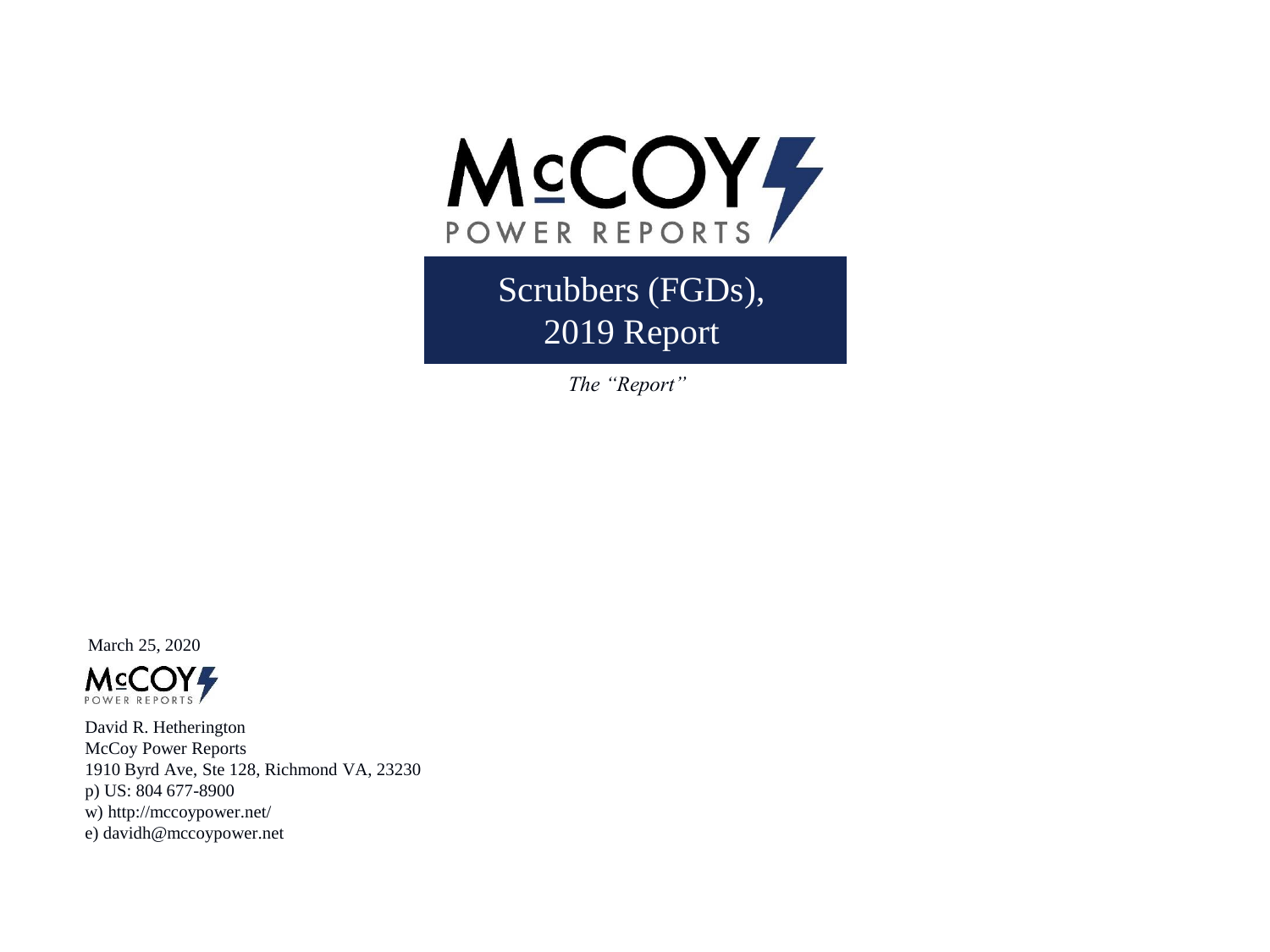

Scrubbers (FGDs), 2019 Report

*The "Report"*

March 25, 2020



David R. Hetherington McCoy Power Reports 1910 Byrd Ave, Ste 128, Richmond VA, 23230 p) US: 804 677-8900 w) http://mccoypower.net/ e) davidh@mccoypower.net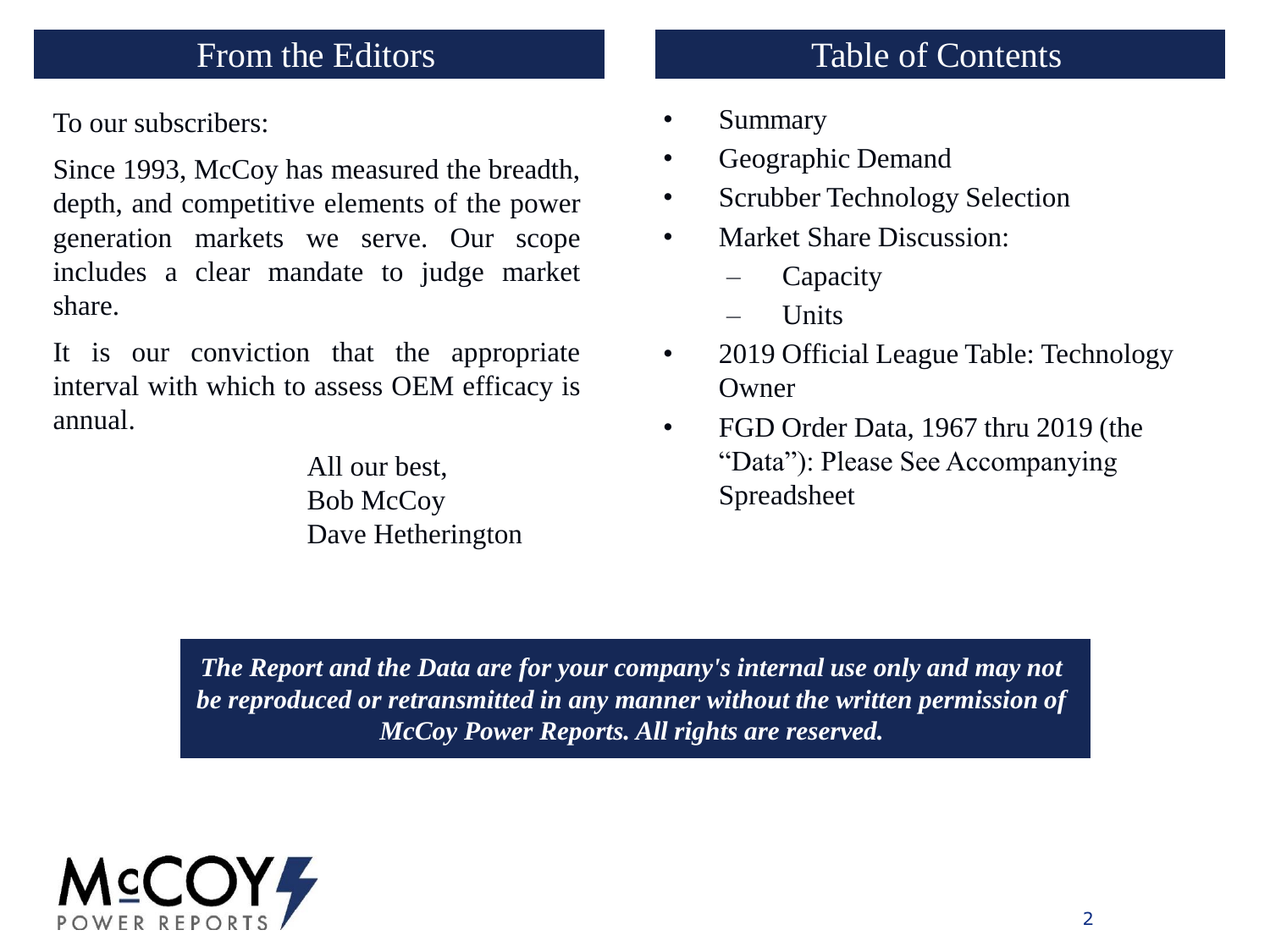To our subscribers:

Since 1993, McCoy has measured the breadth, depth, and competitive elements of the power generation markets we serve. Our scope includes a clear mandate to judge market share.

It is our conviction that the appropriate interval with which to assess OEM efficacy is annual.

> All our best, Bob McCoy Dave Hetherington

# From the Editors Table of Contents

- Summary
- Geographic Demand
- Scrubber Technology Selection
- Market Share Discussion:
	- **Capacity**
	- Units
- 2019 Official League Table: Technology Owner
- FGD Order Data, 1967 thru 2019 (the "Data"): Please See Accompanying Spreadsheet

*The Report and the Data are for your company's internal use only and may not be reproduced or retransmitted in any manner without the written permission of McCoy Power Reports. All rights are reserved.*

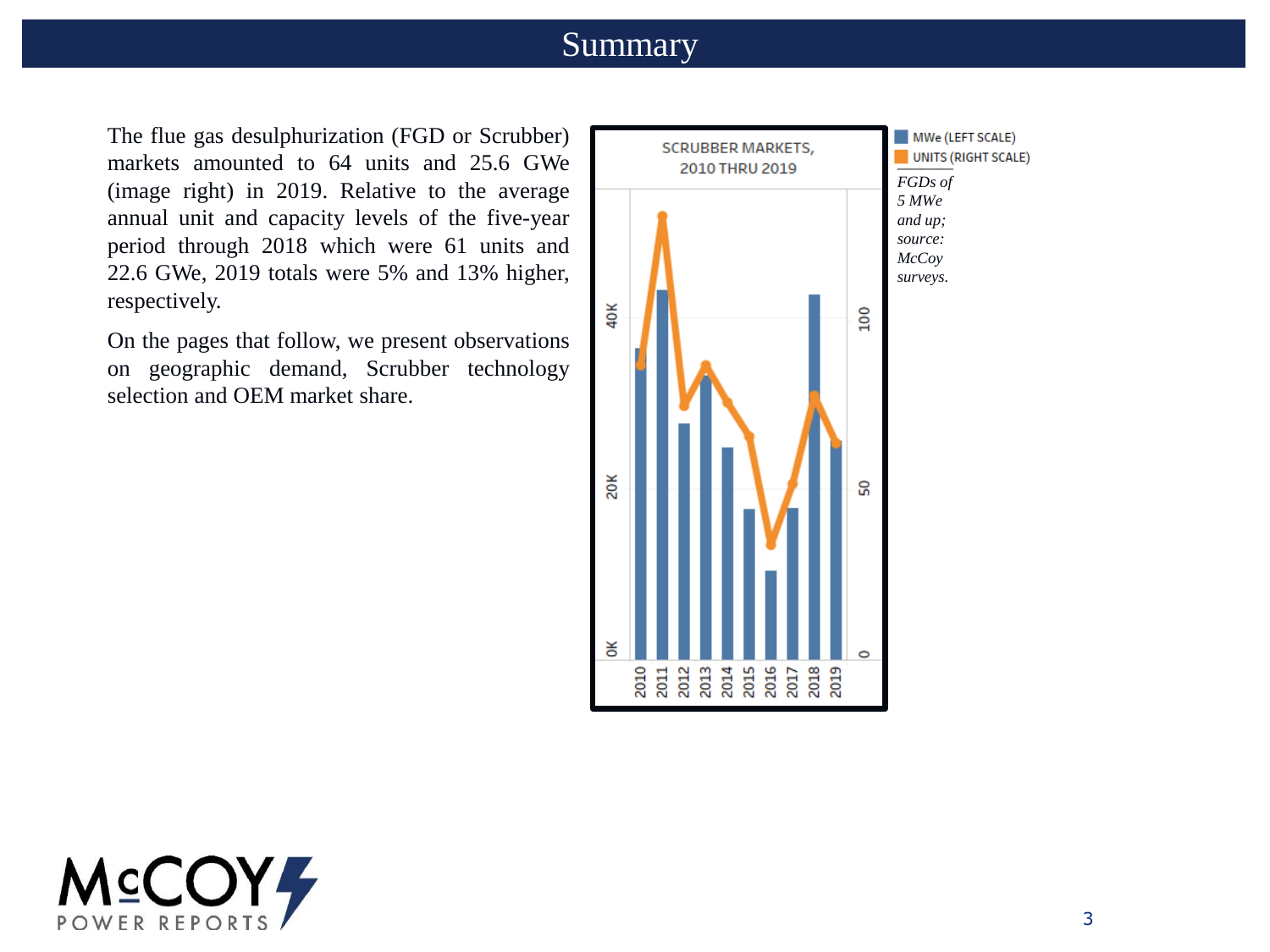### Summary

The flue gas desulphurization (FGD or Scrubber) markets amounted to 64 units and 25.6 GWe (image right) in 2019. Relative to the average annual unit and capacity levels of the five-year period through 2018 which were 61 units and 22.6 GWe, 2019 totals were 5% and 13% higher, respectively.

On the pages that follow, we present observations on geographic demand, Scrubber technology selection and OEM market share.



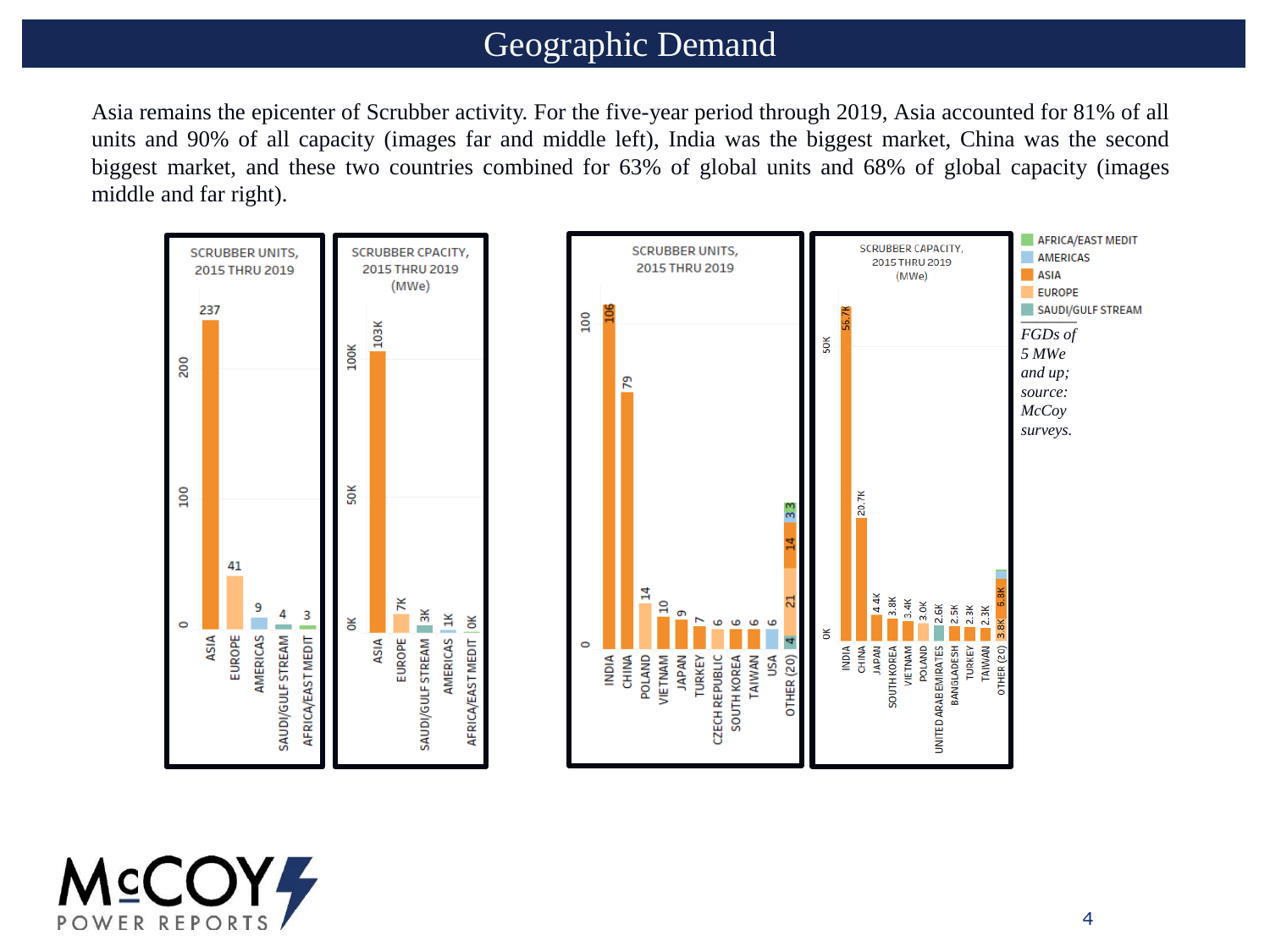### Geographic Demand

Asia remains the epicenter of Scrubber activity. For the five-year period through 2019, Asia accounted for 81% of all units and 90% of all capacity (images far and middle left), India was the biggest market, China was the second biggest market, and these two countries combined for 63% of global units and 68% of global capacity (images middle and far right).



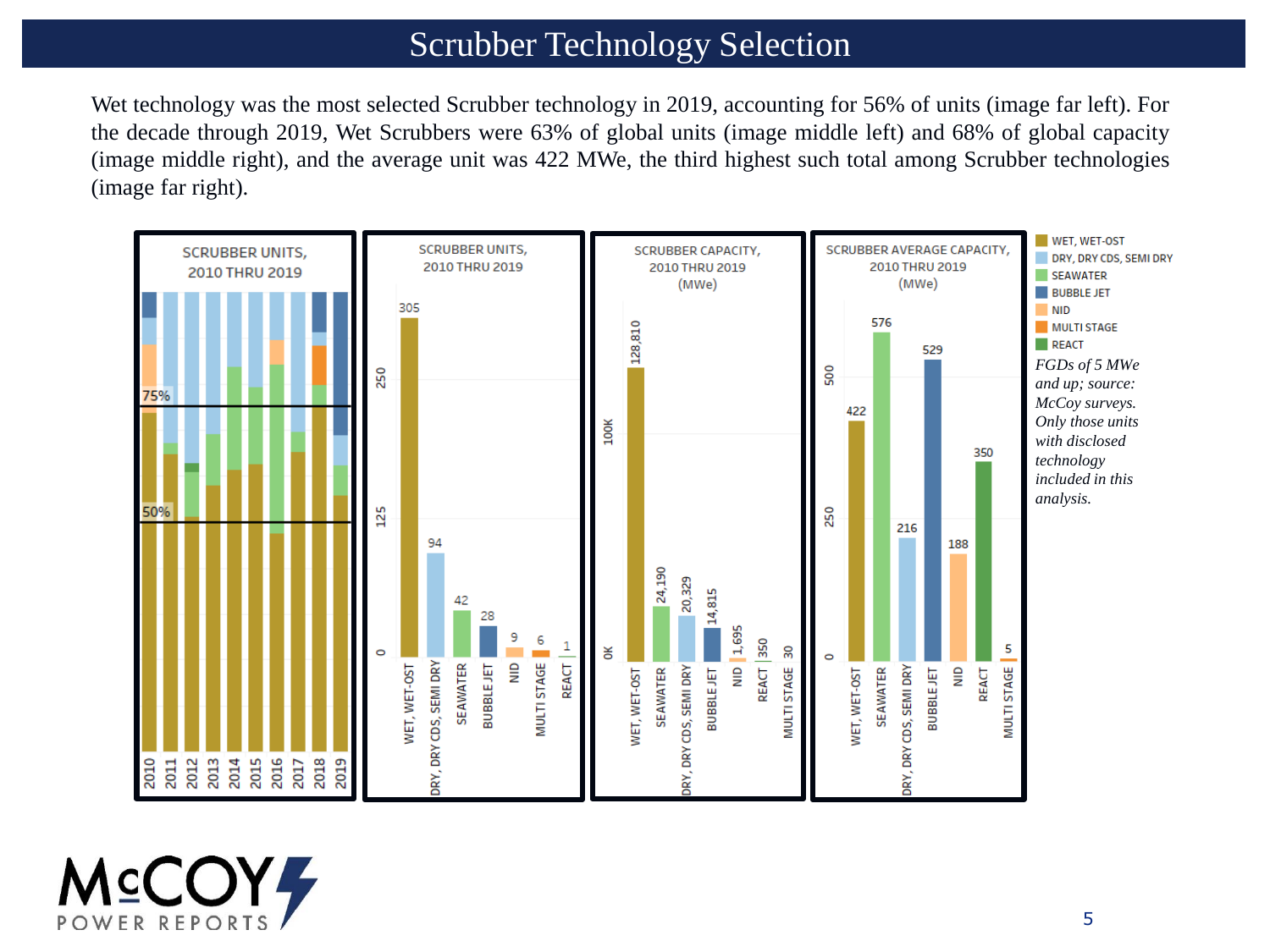## Scrubber Technology Selection

Wet technology was the most selected Scrubber technology in 2019, accounting for 56% of units (image far left). For the decade through 2019, Wet Scrubbers were 63% of global units (image middle left) and 68% of global capacity (image middle right), and the average unit was 422 MWe, the third highest such total among Scrubber technologies (image far right).



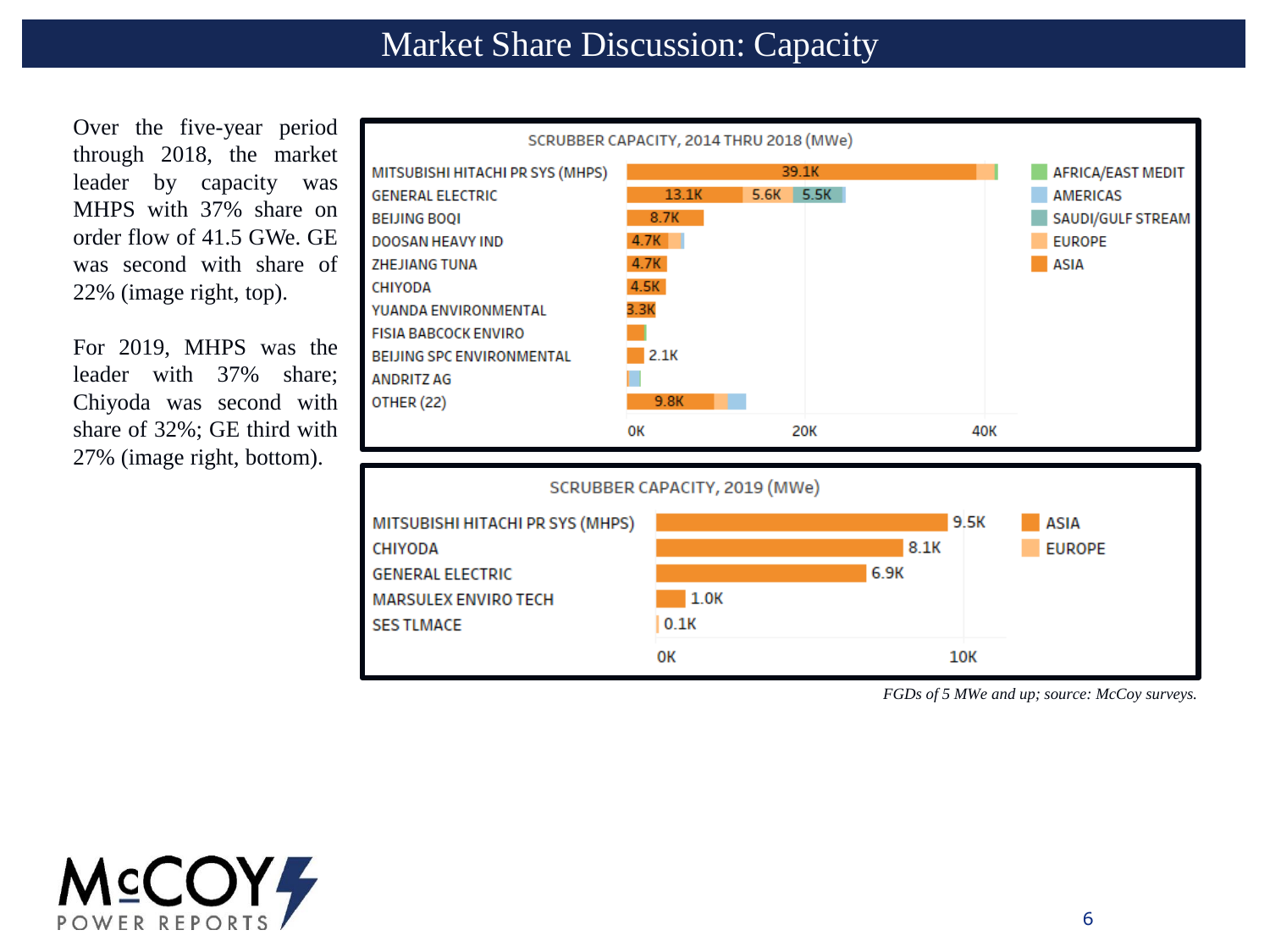Over the five-year period through 2018, the market leader by capacity was MHPS with 37% share on order flow of 41.5 GWe. GE was second with share of 22% (image right, top).

For 2019, MHPS was the leader with 37% share; Chiyoda was second with share of 32%; GE third with 27% (image right, bottom).





*FGDs of 5 MWe and up; source: McCoy surveys.* 

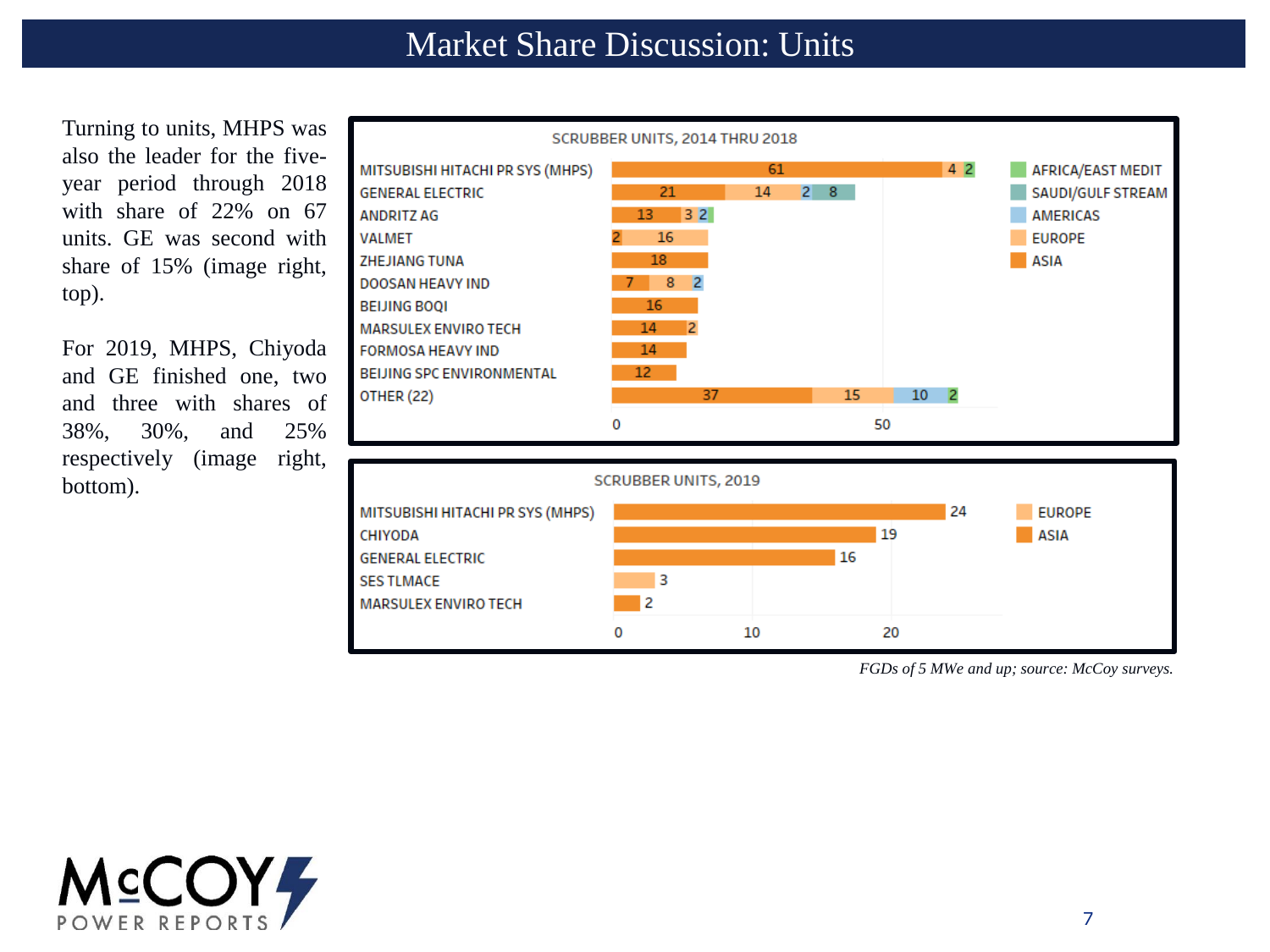Turning to units, MHPS was also the leader for the fiveyear period through 2018 with share of 22% on 67 units. GE was second with share of 15% (image right, top).

For 2019, MHPS, Chiyoda and GE finished one, two and three with shares of 38%, 30%, and 25% respectively (image right, bottom).





*FGDs of 5 MWe and up; source: McCoy surveys.*